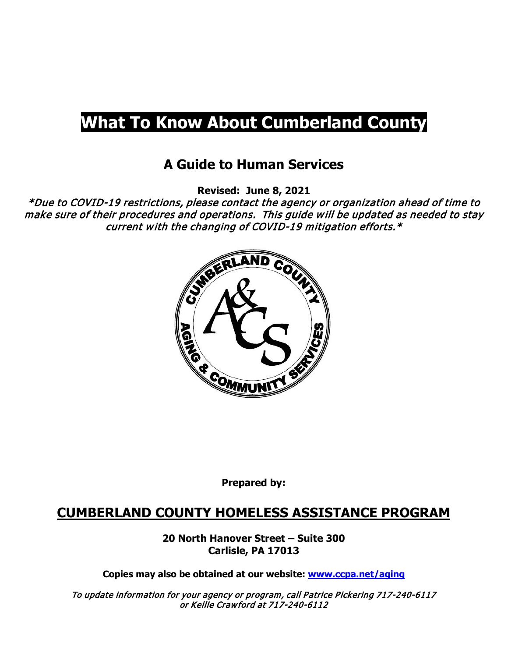# **What To Know About Cumberland County**

# **A Guide to Human Services**

**Revised: June 8, 2021**

\*Due to COVID-19 restrictions, please contact the agency or organization ahead of time to make sure of their procedures and operations. This guide will be updated as needed to stay current with the changing of COVID-19 mitigation efforts.\*



**Prepared by:**

# **CUMBERLAND COUNTY HOMELESS ASSISTANCE PROGRAM**

**20 North Hanover Street – Suite 300 Carlisle, PA 17013**

**Copies may also be obtained at our website: [www.ccpa.net/aging](http://www.ccpa.net/aging)**

To update information for your agency or program, call Patrice Pickering 717-240-6117 or Kellie Crawford at 717-240-6112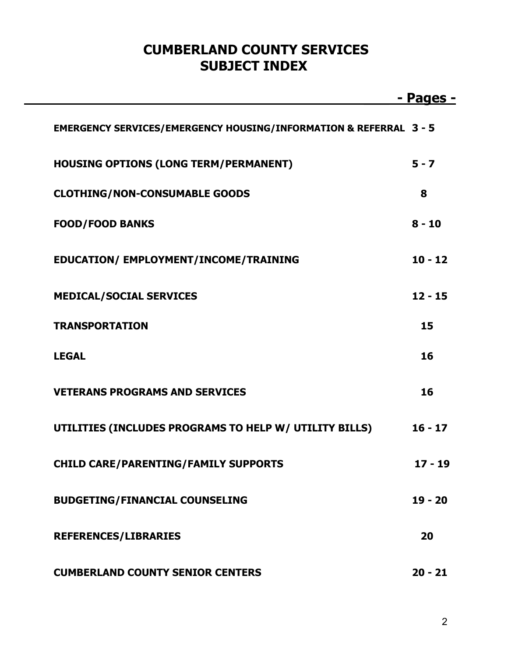# **CUMBERLAND COUNTY SERVICES SUBJECT INDEX**

|                                                                              | - Pages - |
|------------------------------------------------------------------------------|-----------|
| <b>EMERGENCY SERVICES/EMERGENCY HOUSING/INFORMATION &amp; REFERRAL 3 - 5</b> |           |
| <b>HOUSING OPTIONS (LONG TERM/PERMANENT)</b>                                 | $5 - 7$   |
| <b>CLOTHING/NON-CONSUMABLE GOODS</b>                                         | 8         |
| <b>FOOD/FOOD BANKS</b>                                                       | $8 - 10$  |
| EDUCATION/ EMPLOYMENT/INCOME/TRAINING                                        | $10 - 12$ |
| <b>MEDICAL/SOCIAL SERVICES</b>                                               | $12 - 15$ |
| <b>TRANSPORTATION</b>                                                        | 15        |
| <b>LEGAL</b>                                                                 | 16        |
| <b>VETERANS PROGRAMS AND SERVICES</b>                                        | 16        |
| UTILITIES (INCLUDES PROGRAMS TO HELP W/ UTILITY BILLS)                       | $16 - 17$ |
| <b>CHILD CARE/PARENTING/FAMILY SUPPORTS</b>                                  | $17 - 19$ |
| <b>BUDGETING/FINANCIAL COUNSELING</b>                                        | $19 - 20$ |
| <b>REFERENCES/LIBRARIES</b>                                                  | 20        |
| <b>CUMBERLAND COUNTY SENIOR CENTERS</b>                                      | $20 - 21$ |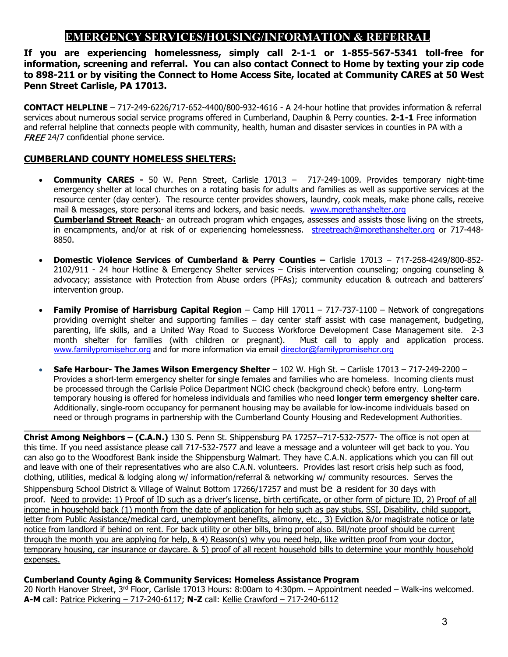### **EMERGENCY SERVICES/HOUSING/INFORMATION & REFERRAL**

**If you are experiencing homelessness, simply call 2-1-1 or 1-855-567-5341 toll-free for information, screening and referral. You can also contact Connect to Home by texting your zip code to 898-211 or by visiting the Connect to Home Access Site, located at Community CARES at 50 West Penn Street Carlisle, PA 17013.**

**CONTACT HELPLINE** – 717-249-6226/717-652-4400/800-932-4616 - A 24-hour hotline that provides information & referral services about numerous social service programs offered in Cumberland, Dauphin & Perry counties. **2-1-1** Free information and referral helpline that connects people with community, health, human and disaster services in counties in PA with a FREE 24/7 confidential phone service.

#### **CUMBERLAND COUNTY HOMELESS SHELTERS:**

- **Community CARES -** 50 W. Penn Street, Carlisle 17013 717-249-1009. Provides temporary night-time emergency shelter at local churches on a rotating basis for adults and families as well as supportive services at the resource center (day center). The resource center provides showers, laundry, cook meals, make phone calls, receive mail & messages, store personal items and lockers, and basic needs. [www.morethanshelter.org](http://www.morethanshelter.org/)  **Cumberland Street Reach**- an outreach program which engages, assesses and assists those living on the streets, in encampments, and/or at risk of or experiencing homelessness. [streetreach@morethanshelter.org](mailto:streetreach@morethanshelter.org) or 717-448-8850.
- **Domestic Violence Services of Cumberland & Perry Counties –** Carlisle 17013 717-258-4249/800-852- 2102/911 - 24 hour Hotline & Emergency Shelter services – Crisis intervention counseling; ongoing counseling & advocacy; assistance with Protection from Abuse orders (PFAs); community education & outreach and batterers' intervention group.
- **Family Promise of Harrisburg Capital Region** Camp Hill 17011 717-737-1100 Network of congregations providing overnight shelter and supporting families – day center staff assist with case management, budgeting, parenting, life skills, and a United Way Road to Success Workforce Development Case Management site. 2-3 month shelter for families (with children or pregnant). Must call to apply and application process. [www.familypromisehcr.org](http://www.familypromisehcr.org/) and for more information via email [director@familypromisehcr.org](mailto:director@familypromisehcr.org)
- **Safe Harbour- The James Wilson Emergency Shelter** 102 W. High St. Carlisle 17013 717-249-2200 Provides a short-term emergency shelter for single females and families who are homeless. Incoming clients must be processed through the Carlisle Police Department NCIC check (background check) before entry. Long-term temporary housing is offered for homeless individuals and families who need **longer term emergency shelter care.** Additionally, single-room occupancy for permanent housing may be available for low-income individuals based on need or through programs in partnership with the Cumberland County Housing and Redevelopment Authorities.

\_\_\_\_\_\_\_\_\_\_\_\_\_\_\_\_\_\_\_\_\_\_\_\_\_\_\_\_\_\_\_\_\_\_\_\_\_\_\_\_\_\_\_\_\_\_\_\_\_\_\_\_\_\_\_\_\_\_\_\_\_\_\_\_\_\_\_\_\_\_\_\_\_\_\_\_\_\_\_\_\_\_\_\_\_\_\_\_\_\_\_\_\_\_\_\_\_\_\_\_\_

**Christ Among Neighbors – (C.A.N.)** 130 S. Penn St. Shippensburg PA 17257--717-532-7577- The office is not open at this time. If you need assistance please call 717-532-7577 and leave a message and a volunteer will get back to you. You can also go to the Woodforest Bank inside the Shippensburg Walmart. They have C.A.N. applications which you can fill out and leave with one of their representatives who are also C.A.N. volunteers. Provides last resort crisis help such as food, clothing, utilities, medical & lodging along w/ information/referral & networking w/ community resources. Serves the Shippensburg School District & Village of Walnut Bottom 17266/17257 and must be a resident for 30 days with proof. Need to provide: 1) Proof of ID such as a driver's license, birth certificate, or other form of picture ID, 2) Proof of all income in household back (1) month from the date of application for help such as pay stubs, SSI, Disability, child support, letter from Public Assistance/medical card, unemployment benefits, alimony, etc., 3) Eviction &/or magistrate notice or late notice from landlord if behind on rent. For back utility or other bills, bring proof also. Bill/note proof should be current through the month you are applying for help, & 4) Reason(s) why you need help, like written proof from your doctor, temporary housing, car insurance or daycare. & 5) proof of all recent household bills to determine your monthly household expenses.

#### **Cumberland County Aging & Community Services: Homeless Assistance Program**

20 North Hanover Street,  $3^{rd}$  Floor, Carlisle 17013 Hours: 8:00am to 4:30pm. – Appointment needed – Walk-ins welcomed. **A-M** call: Patrice Pickering – 717-240-6117; **N-Z** call: Kellie Crawford – 717-240-6112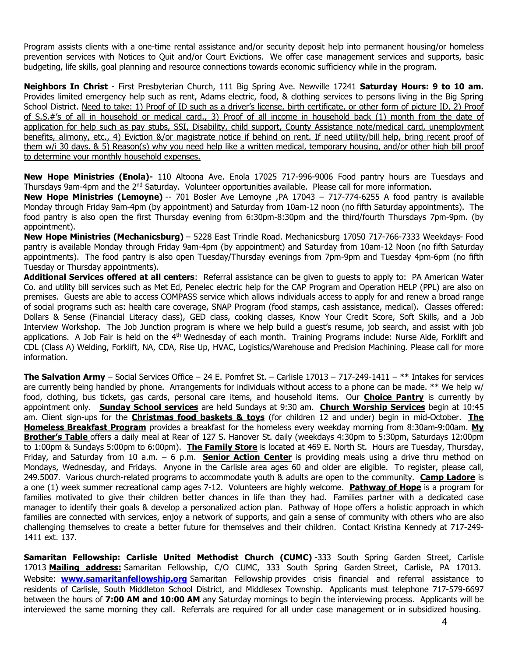Program assists clients with a one-time rental assistance and/or security deposit help into permanent housing/or homeless prevention services with Notices to Quit and/or Court Evictions. We offer case management services and supports, basic budgeting, life skills, goal planning and resource connections towards economic sufficiency while in the program.

**Neighbors In Christ** - First Presbyterian Church, 111 Big Spring Ave. Newville 17241 **Saturday Hours: 9 to 10 am.** Provides limited emergency help such as rent, Adams electric, food, & clothing services to persons living in the Big Spring School District. Need to take: 1) Proof of ID such as a driver's license, birth certificate, or other form of picture ID, 2) Proof of S.S.#'s of all in household or medical card., 3) Proof of all income in household back (1) month from the date of application for help such as pay stubs, SSI, Disability, child support, County Assistance note/medical card, unemployment benefits, alimony, etc., 4) Eviction &/or magistrate notice if behind on rent. If need utility/bill help, bring recent proof of them w/i 30 days. & 5) Reason(s) why you need help like a written medical, temporary housing, and/or other high bill proof to determine your monthly household expenses.

**New Hope Ministries (Enola)-** 110 Altoona Ave. Enola 17025 717-996-9006 Food pantry hours are Tuesdays and Thursdays 9am-4pm and the 2<sup>nd</sup> Saturday. Volunteer opportunities available. Please call for more information.

**New Hope Ministries (Lemoyne)** -- 701 Bosler Ave Lemoyne ,PA 17043 – 717-774-6255 A food pantry is available Monday through Friday 9am-4pm (by appointment) and Saturday from 10am-12 noon (no fifth Saturday appointments). The food pantry is also open the first Thursday evening from 6:30pm-8:30pm and the third/fourth Thursdays 7pm-9pm. (by appointment).

**New Hope Ministries (Mechanicsburg)** – 5228 East Trindle Road. Mechanicsburg 17050 717-766-7333 Weekdays- Food pantry is available Monday through Friday 9am-4pm (by appointment) and Saturday from 10am-12 Noon (no fifth Saturday appointments). The food pantry is also open Tuesday/Thursday evenings from 7pm-9pm and Tuesday 4pm-6pm (no fifth Tuesday or Thursday appointments).

**Additional Services offered at all centers**: Referral assistance can be given to guests to apply to: PA American Water Co. and utility bill services such as Met Ed, Penelec electric help for the CAP Program and Operation HELP (PPL) are also on premises. Guests are able to access COMPASS service which allows individuals access to apply for and renew a broad range of social programs such as: health care coverage, SNAP Program (food stamps, cash assistance, medical). Classes offered: Dollars & Sense (Financial Literacy class), GED class, cooking classes, Know Your Credit Score, Soft Skills, and a Job Interview Workshop. The Job Junction program is where we help build a guest's resume, job search, and assist with job applications. A Job Fair is held on the 4<sup>th</sup> Wednesday of each month. Training Programs include: Nurse Aide, Forklift and CDL (Class A) Welding, Forklift, NA, CDA, Rise Up, HVAC, Logistics/Warehouse and Precision Machining. Please call for more information.

**The Salvation Army** – Social Services Office – 24 E. Pomfret St. – Carlisle 17013 – 717-249-1411 – \*\* Intakes for services are currently being handled by phone. Arrangements for individuals without access to a phone can be made. \*\* We help w/ food, clothing, bus tickets, gas cards, personal care items, and household items. Our **Choice Pantry** is currently by appointment only. **Sunday School services** are held Sundays at 9:30 am. **Church Worship Services** begin at 10:45 am. Client sign-ups for the **Christmas food baskets & toys** (for children 12 and under) begin in mid-October. **The Homeless Breakfast Program** provides a breakfast for the homeless every weekday morning from 8:30am-9:00am. **My Brother's Table** offers a daily meal at Rear of 127 S. Hanover St. daily (weekdays 4:30pm to 5:30pm, Saturdays 12:00pm to 1:00pm & Sundays 5:00pm to 6:00pm). **The Family Store** is located at 469 E. North St. Hours are Tuesday, Thursday, Friday, and Saturday from 10 a.m. – 6 p.m. **Senior Action Center** is providing meals using a drive thru method on Mondays, Wednesday, and Fridays. Anyone in the Carlisle area ages 60 and older are eligible. To register, please call, 249.5007. Various church-related programs to accommodate youth & adults are open to the community. **Camp Ladore** is a one (1) week summer recreational camp ages 7-12. Volunteers are highly welcome. **Pathway of Hope** is a program for families motivated to give their children better chances in life than they had. Families partner with a dedicated case manager to identify their goals & develop a personalized action plan. Pathway of Hope offers a holistic approach in which families are connected with services, enjoy a network of supports, and gain a sense of community with others who are also challenging themselves to create a better future for themselves and their children. Contact Kristina Kennedy at 717-249- 1411 ext. 137.

**Samaritan Fellowship: Carlisle United Methodist Church (CUMC)** -333 South Spring Garden Street, Carlisle 17013 **Mailing address:** Samaritan Fellowship, C/O CUMC, 333 South Spring Garden Street, Carlisle, PA 17013. Website: **[www.samaritanfellowship.org](http://www.samaritanfellowship.org/)** Samaritan Fellowship provides crisis financial and referral assistance to residents of Carlisle, South Middleton School District, and Middlesex Township. Applicants must telephone 717-579-6697 between the hours of **7:00 AM and 10:00 AM** any Saturday mornings to begin the interviewing process. Applicants will be interviewed the same morning they call. Referrals are required for all under case management or in subsidized housing.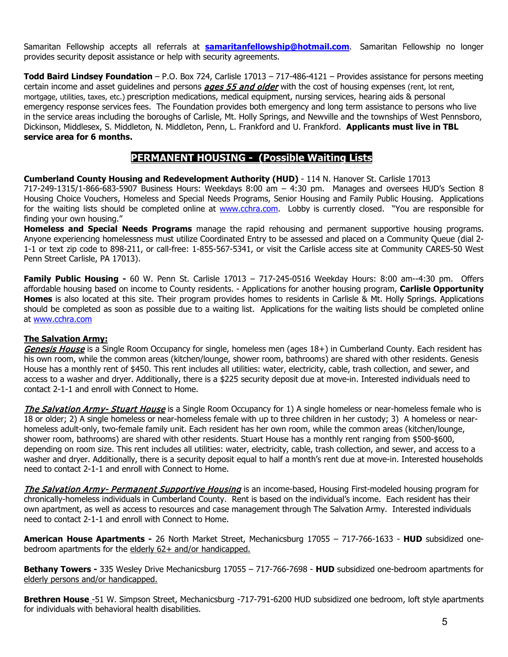Samaritan Fellowship accepts all referrals at **[samaritanfellowship@hotmail.com](mailto:samaritanfellowship@hotmail.com)**. Samaritan Fellowship no longer provides security deposit assistance or help with security agreements.

**Todd Baird Lindsey Foundation** – P.O. Box 724, Carlisle 17013 – 717-486-4121 – Provides assistance for persons meeting certain income and asset guidelines and persons **ages 55 and older** with the cost of housing expenses (rent, lot rent, mortgage, utilities, taxes, etc.) prescription medications, medical equipment, nursing services, hearing aids & personal emergency response services fees. The Foundation provides both emergency and long term assistance to persons who live in the service areas including the boroughs of Carlisle, Mt. Holly Springs, and Newville and the townships of West Pennsboro, Dickinson, Middlesex, S. Middleton, N. Middleton, Penn, L. Frankford and U. Frankford. **Applicants must live in TBL service area for 6 months.**

### **PERMANENT HOUSING - (Possible Waiting Lists)**

**Cumberland County Housing and Redevelopment Authority (HUD)** - 114 N. Hanover St. Carlisle 17013 717-249-1315/1-866-683-5907 Business Hours: Weekdays 8:00 am – 4:30 pm. Manages and oversees HUD's Section 8 Housing Choice Vouchers, Homeless and Special Needs Programs, Senior Housing and Family Public Housing. Applications for the waiting lists should be completed online at [www.cchra.com.](http://www.cchra.com/) Lobby is currently closed. "You are responsible for finding your own housing."

**Homeless and Special Needs Programs** manage the rapid rehousing and permanent supportive housing programs. Anyone experiencing homelessness must utilize Coordinated Entry to be assessed and placed on a Community Queue (dial 2- 1-1 or text zip code to 898-211, or call-free: 1-855-567-5341, or visit the Carlisle access site at Community CARES-50 West Penn Street Carlisle, PA 17013).

**Family Public Housing -** 60 W. Penn St. Carlisle 17013 – 717-245-0516 Weekday Hours: 8:00 am--4:30 pm. Offers affordable housing based on income to County residents. - Applications for another housing program, **Carlisle Opportunity Homes** is also located at this site. Their program provides homes to residents in Carlisle & Mt. Holly Springs. Applications should be completed as soon as possible due to a waiting list. Applications for the waiting lists should be completed online at [www.cchra.com](http://www.cchra.com/)

#### **The Salvation Army:**

Genesis House is a Single Room Occupancy for single, homeless men (ages 18+) in Cumberland County. Each resident has his own room, while the common areas (kitchen/lounge, shower room, bathrooms) are shared with other residents. Genesis House has a monthly rent of \$450. This rent includes all utilities: water, electricity, cable, trash collection, and sewer, and access to a washer and dryer. Additionally, there is a \$225 security deposit due at move-in. Interested individuals need to contact 2-1-1 and enroll with Connect to Home.

The Salvation Army- Stuart House is a Single Room Occupancy for 1) A single homeless or near-homeless female who is 18 or older; 2) A single homeless or near-homeless female with up to three children in her custody; 3) A homeless or nearhomeless adult-only, two-female family unit. Each resident has her own room, while the common areas (kitchen/lounge, shower room, bathrooms) are shared with other residents. Stuart House has a monthly rent ranging from \$500-\$600, depending on room size. This rent includes all utilities: water, electricity, cable, trash collection, and sewer, and access to a washer and dryer. Additionally, there is a security deposit equal to half a month's rent due at move-in. Interested households need to contact 2-1-1 and enroll with Connect to Home.

The Salvation Army- Permanent Supportive Housing is an income-based, Housing First-modeled housing program for chronically-homeless individuals in Cumberland County. Rent is based on the individual's income. Each resident has their own apartment, as well as access to resources and case management through The Salvation Army. Interested individuals need to contact 2-1-1 and enroll with Connect to Home.

**American House Apartments -** 26 North Market Street, Mechanicsburg 17055 – 717-766-1633 - **HUD** subsidized onebedroom apartments for the elderly 62+ and/or handicapped.

**Bethany Towers -** 335 Wesley Drive Mechanicsburg 17055 – 717-766-7698 - **HUD** subsidized one-bedroom apartments for elderly persons and/or handicapped.

**Brethren House** -51 W. Simpson Street, Mechanicsburg -717-791-6200 HUD subsidized one bedroom, loft style apartments for individuals with behavioral health disabilities.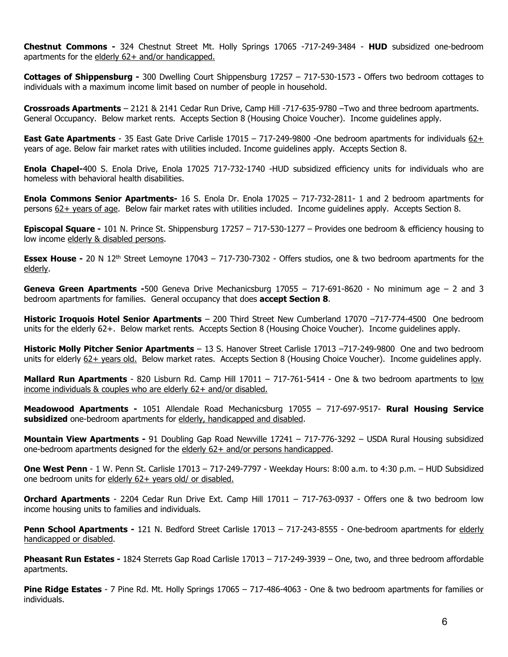**Chestnut Commons -** 324 Chestnut Street Mt. Holly Springs 17065 -717-249-3484 - **HUD** subsidized one-bedroom apartments for the elderly 62+ and/or handicapped.

**Cottages of Shippensburg -** 300 Dwelling Court Shippensburg 17257 – 717-530-1573 **-** Offers two bedroom cottages to individuals with a maximum income limit based on number of people in household.

**Crossroads Apartments** – 2121 & 2141 Cedar Run Drive, Camp Hill -717-635-9780 –Two and three bedroom apartments. General Occupancy. Below market rents. Accepts Section 8 (Housing Choice Voucher). Income guidelines apply.

**East Gate Apartments** - 35 East Gate Drive Carlisle 17015 – 717-249-9800 -One bedroom apartments for individuals 62+ years of age. Below fair market rates with utilities included. Income guidelines apply. Accepts Section 8.

**Enola Chapel-**400 S. Enola Drive, Enola 17025 717-732-1740 -HUD subsidized efficiency units for individuals who are homeless with behavioral health disabilities.

**Enola Commons Senior Apartments-** 16 S. Enola Dr. Enola 17025 – 717-732-2811- 1 and 2 bedroom apartments for persons 62+ years of age. Below fair market rates with utilities included. Income guidelines apply. Accepts Section 8.

**Episcopal Square -** 101 N. Prince St. Shippensburg 17257 – 717-530-1277 – Provides one bedroom & efficiency housing to low income elderly & disabled persons.

**Essex House** - 20 N 12<sup>th</sup> Street Lemoyne 17043 – 717-730-7302 - Offers studios, one & two bedroom apartments for the elderly.

**Geneva Green Apartments -**500 Geneva Drive Mechanicsburg 17055 – 717-691-8620 - No minimum age – 2 and 3 bedroom apartments for families. General occupancy that does **accept Section 8**.

**Historic Iroquois Hotel Senior Apartments** – 200 Third Street New Cumberland 17070 –717-774-4500 One bedroom units for the elderly 62+. Below market rents. Accepts Section 8 (Housing Choice Voucher). Income guidelines apply.

**Historic Molly Pitcher Senior Apartments** – 13 S. Hanover Street Carlisle 17013 –717-249-9800 One and two bedroom units for elderly 62+ years old. Below market rates. Accepts Section 8 (Housing Choice Voucher). Income guidelines apply.

**Mallard Run Apartments** - 820 Lisburn Rd. Camp Hill 17011 – 717-761-5414 - One & two bedroom apartments to low income individuals & couples who are elderly 62+ and/or disabled.

**Meadowood Apartments -** 1051 Allendale Road Mechanicsburg 17055 – 717-697-9517- **Rural Housing Service subsidized** one-bedroom apartments for elderly, handicapped and disabled.

**Mountain View Apartments -** 91 Doubling Gap Road Newville 17241 – 717-776-3292 – USDA Rural Housing subsidized one-bedroom apartments designed for the elderly 62+ and/or persons handicapped.

**One West Penn** - 1 W. Penn St. Carlisle 17013 – 717-249-7797 - Weekday Hours: 8:00 a.m. to 4:30 p.m. – HUD Subsidized one bedroom units for elderly 62+ years old/ or disabled.

**Orchard Apartments** - 2204 Cedar Run Drive Ext. Camp Hill 17011 – 717-763-0937 - Offers one & two bedroom low income housing units to families and individuals.

**Penn School Apartments -** 121 N. Bedford Street Carlisle 17013 – 717-243-8555 - One-bedroom apartments for elderly handicapped or disabled.

**Pheasant Run Estates -** 1824 Sterrets Gap Road Carlisle 17013 – 717-249-3939 – One, two, and three bedroom affordable apartments.

**Pine Ridge Estates** - 7 Pine Rd. Mt. Holly Springs 17065 – 717-486-4063 - One & two bedroom apartments for families or individuals.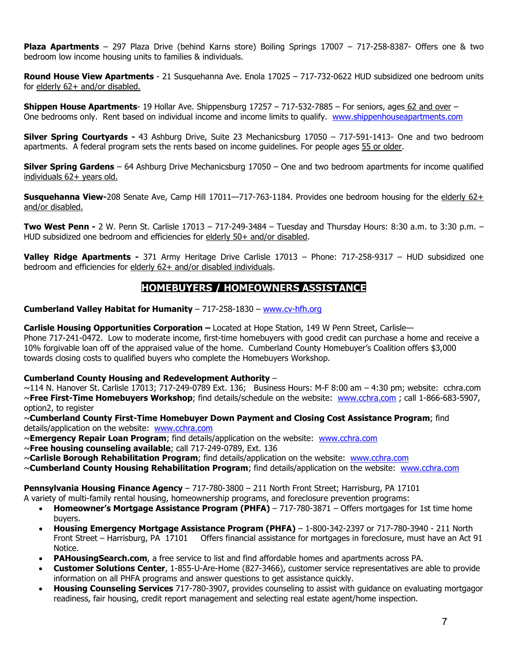**Plaza Apartments** – 297 Plaza Drive (behind Karns store) Boiling Springs 17007 – 717-258-8387- Offers one & two bedroom low income housing units to families & individuals.

**Round House View Apartments** - 21 Susquehanna Ave. Enola 17025 – 717-732-0622 HUD subsidized one bedroom units for elderly 62+ and/or disabled.

**Shippen House Apartments**- 19 Hollar Ave. Shippensburg 17257 – 717-532-7885 – For seniors, ages 62 and over – One bedrooms only. Rent based on individual income and income limits to qualify. [www.shippenhouseapartments.com](http://www.shippenhouseapartments.com/)

**Silver Spring Courtyards -** 43 Ashburg Drive, Suite 23 Mechanicsburg 17050 – 717-591-1413- One and two bedroom apartments. A federal program sets the rents based on income guidelines. For people ages 55 or older.

**Silver Spring Gardens** – 64 Ashburg Drive Mechanicsburg 17050 – One and two bedroom apartments for income qualified individuals 62+ years old.

**Susquehanna View-**208 Senate Ave, Camp Hill 17011—717-763-1184. Provides one bedroom housing for the elderly 62+ and/or disabled.

**Two West Penn -** 2 W. Penn St. Carlisle 17013 – 717-249-3484 – Tuesday and Thursday Hours: 8:30 a.m. to 3:30 p.m. – HUD subsidized one bedroom and efficiencies for elderly 50+ and/or disabled.

**Valley Ridge Apartments -** 371 Army Heritage Drive Carlisle 17013 – Phone: 717-258-9317 – HUD subsidized one bedroom and efficiencies for elderly 62+ and/or disabled individuals.

### **HOMEBUYERS / HOMEOWNERS ASSISTANCE**

#### **Cumberland Valley Habitat for Humanity** – 717-258-1830 – [www.cv-hfh.org](http://www.cv-hfh.org/)

**Carlisle Housing Opportunities Corporation –** Located at Hope Station, 149 W Penn Street, Carlisle— Phone 717-241-0472. Low to moderate income, first-time homebuyers with good credit can purchase a home and receive a

10% forgivable loan off of the appraised value of the home. Cumberland County Homebuyer's Coalition offers \$3,000 towards closing costs to qualified buyers who complete the Homebuyers Workshop.

#### **Cumberland County Housing and Redevelopment Authority** –

 $\sim$ 114 N. Hanover St. Carlisle 17013; 717-249-0789 Ext. 136; Business Hours: M-F 8:00 am  $-$  4:30 pm; website: cchra.com ~**Free First-Time Homebuyers Workshop**; find details/schedule on the website: [www.cchra.com](http://www.cchra.com/) ; call 1-866-683-5907, option2, to register

~**Cumberland County First-Time Homebuyer Down Payment and Closing Cost Assistance Program**; find details/application on the website: [www.cchra.com](http://www.cchra.com/)

- ~**Emergency Repair Loan Program**; find details/application on the website: [www.cchra.com](http://www.cchra.com/)
- ~**Free housing counseling available**; call 717-249-0789, Ext. 136
- ~**Carlisle Borough Rehabilitation Program**; find details/application on the website: [www.cchra.com](http://www.cchra.com/)
- ~**Cumberland County Housing Rehabilitation Program**; find details/application on the website: [www.cchra.com](http://www.cchra.com/)

**Pennsylvania Housing Finance Agency** – 717-780-3800 – 211 North Front Street; Harrisburg, PA 17101

A variety of multi-family rental housing, homeownership programs, and foreclosure prevention programs:

- **Homeowner's Mortgage Assistance Program (PHFA)** 717-780-3871 Offers mortgages for 1st time home buyers.
- **Housing Emergency Mortgage Assistance Program (PHFA)** 1-800-342-2397 or 717-780-3940 211 North Front Street – Harrisburg, PA 17101 Offers financial assistance for mortgages in foreclosure, must have an Act 91 Notice.
- **PAHousingSearch.com**, a free service to list and find affordable homes and apartments across PA.
- **Customer Solutions Center**, 1-855-U-Are-Home (827-3466), customer service representatives are able to provide information on all PHFA programs and answer questions to get assistance quickly.
- **Housing Counseling Services** 717-780-3907, provides counseling to assist with guidance on evaluating mortgagor readiness, fair housing, credit report management and selecting real estate agent/home inspection.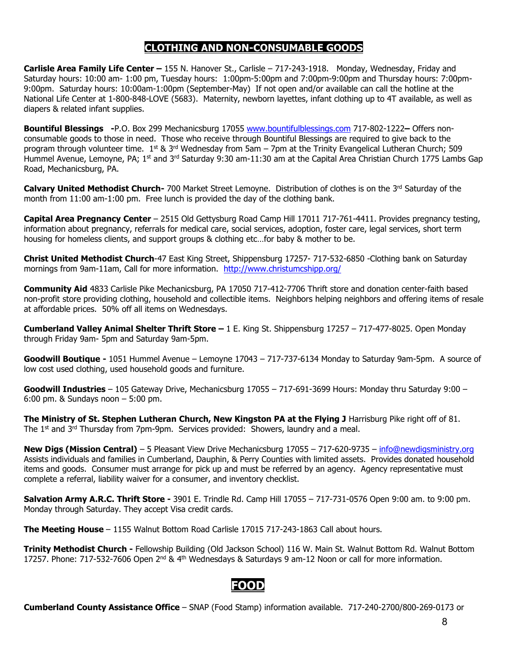### **CLOTHING AND NON-CONSUMABLE GOODS**

**Carlisle Area Family Life Center –** 155 N. Hanover St., Carlisle – 717-243-1918. Monday, Wednesday, Friday and Saturday hours: 10:00 am- 1:00 pm, Tuesday hours: 1:00pm-5:00pm and 7:00pm-9:00pm and Thursday hours: 7:00pm-9:00pm. Saturday hours: 10:00am-1:00pm (September-May) If not open and/or available can call the hotline at the National Life Center at 1-800-848-LOVE (5683). Maternity, newborn layettes, infant clothing up to 4T available, as well as diapers & related infant supplies.

**Bountiful Blessings -**P.O. Box 299 Mechanicsburg 17055 [www.bountifulblessings.com](http://www.bountifulblessings.com/) 717-802-1222**–** Offers nonconsumable goods to those in need. Those who receive through Bountiful Blessings are required to give back to the program through volunteer time.  $1^{st}$  & 3<sup>rd</sup> Wednesday from 5am – 7pm at the Trinity Evangelical Lutheran Church; 509 Hummel Avenue, Lemoyne, PA; 1<sup>st</sup> and 3<sup>rd</sup> Saturday 9:30 am-11:30 am at the Capital Area Christian Church 1775 Lambs Gap Road, Mechanicsburg, PA.

**Calvary United Methodist Church-** 700 Market Street Lemoyne. Distribution of clothes is on the 3<sup>rd</sup> Saturday of the month from 11:00 am-1:00 pm. Free lunch is provided the day of the clothing bank.

**Capital Area Pregnancy Center** – 2515 Old Gettysburg Road Camp Hill 17011 717-761-4411. Provides pregnancy testing, information about pregnancy, referrals for medical care, social services, adoption, foster care, legal services, short term housing for homeless clients, and support groups & clothing etc…for baby & mother to be.

**Christ United Methodist Church**-47 East King Street, Shippensburg 17257- 717-532-6850 -Clothing bank on Saturday mornings from 9am-11am, Call for more information. <http://www.christumcshipp.org/>

**Community Aid** 4833 Carlisle Pike Mechanicsburg, PA 17050 717-412-7706 Thrift store and donation center-faith based non-profit store providing clothing, household and collectible items. Neighbors helping neighbors and offering items of resale at affordable prices. 50% off all items on Wednesdays.

**Cumberland Valley Animal Shelter Thrift Store –** 1 E. King St. Shippensburg 17257 – 717-477-8025. Open Monday through Friday 9am- 5pm and Saturday 9am-5pm.

**Goodwill Boutique -** 1051 Hummel Avenue – Lemoyne 17043 – 717-737-6134 Monday to Saturday 9am-5pm. A source of low cost used clothing, used household goods and furniture.

**Goodwill Industries** – 105 Gateway Drive, Mechanicsburg 17055 – 717-691-3699 Hours: Monday thru Saturday 9:00 – 6:00 pm. & Sundays noon – 5:00 pm.

**The Ministry of St. Stephen Lutheran Church, New Kingston PA at the Flying J** Harrisburg Pike right off of 81. The  $1<sup>st</sup>$  and  $3<sup>rd</sup>$  Thursday from 7pm-9pm. Services provided: Showers, laundry and a meal.

**New Digs (Mission Central)** – 5 Pleasant View Drive Mechanicsburg 17055 – 717-620-9735 – [info@newdigsministry.org](mailto:info@newdigsministry.org) Assists individuals and families in Cumberland, Dauphin, & Perry Counties with limited assets. Provides donated household items and goods. Consumer must arrange for pick up and must be referred by an agency. Agency representative must complete a referral, liability waiver for a consumer, and inventory checklist.

**Salvation Army A.R.C. Thrift Store -** 3901 E. Trindle Rd. Camp Hill 17055 – 717-731-0576 Open 9:00 am. to 9:00 pm. Monday through Saturday. They accept Visa credit cards.

**The Meeting House** – 1155 Walnut Bottom Road Carlisle 17015 717-243-1863 Call about hours.

**Trinity Methodist Church -** Fellowship Building (Old Jackson School) 116 W. Main St. Walnut Bottom Rd. Walnut Bottom 17257. Phone: 717-532-7606 Open 2<sup>nd</sup> & 4<sup>th</sup> Wednesdays & Saturdays 9 am-12 Noon or call for more information.

### **FOOD**

**Cumberland County Assistance Office** – SNAP (Food Stamp) information available. 717-240-2700/800-269-0173 or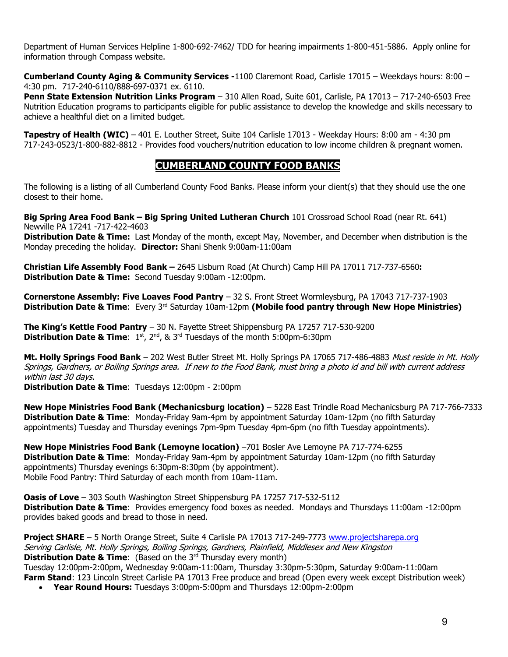Department of Human Services Helpline 1-800-692-7462/ TDD for hearing impairments 1-800-451-5886. Apply online for information through Compass website.

**Cumberland County Aging & Community Services -**1100 Claremont Road, Carlisle 17015 – Weekdays hours: 8:00 – 4:30 pm. 717-240-6110/888-697-0371 ex. 6110.

**Penn State Extension Nutrition Links Program** – 310 Allen Road, Suite 601, Carlisle, PA 17013 – 717-240-6503 Free Nutrition Education programs to participants eligible for public assistance to develop the knowledge and skills necessary to achieve a healthful diet on a limited budget.

**Tapestry of Health (WIC)** – 401 E. Louther Street, Suite 104 Carlisle 17013 - Weekday Hours: 8:00 am - 4:30 pm 717-243-0523/1-800-882-8812 - Provides food vouchers/nutrition education to low income children & pregnant women.

### **CUMBERLAND COUNTY FOOD BANKS**

The following is a listing of all Cumberland County Food Banks. Please inform your client(s) that they should use the one closest to their home.

**Big Spring Area Food Bank – Big Spring United Lutheran Church** 101 Crossroad School Road (near Rt. 641) Newville PA 17241 -717-422-4603

**Distribution Date & Time:** Last Monday of the month, except May, November, and December when distribution is the Monday preceding the holiday. **Director:** Shani Shenk 9:00am-11:00am

**Christian Life Assembly Food Bank –** 2645 Lisburn Road (At Church) Camp Hill PA 17011 717-737-6560**: Distribution Date & Time:** Second Tuesday 9:00am -12:00pm.

**Cornerstone Assembly: Five Loaves Food Pantry** – 32 S. Front Street Wormleysburg, PA 17043 717-737-1903 **Distribution Date & Time**: Every 3rd Saturday 10am-12pm **(Mobile food pantry through New Hope Ministries)**

**The King's Kettle Food Pantry** – 30 N. Fayette Street Shippensburg PA 17257 717-530-9200 **Distribution Date & Time:** 1st, 2<sup>nd</sup>, & 3<sup>rd</sup> Tuesdays of the month 5:00pm-6:30pm

**Mt. Holly Springs Food Bank** – 202 West Butler Street Mt. Holly Springs PA 17065 717-486-4883 Must reside in Mt. Holly Springs, Gardners, or Boiling Springs area. If new to the Food Bank, must bring a photo id and bill with current address within last 30 days.

**Distribution Date & Time**: Tuesdays 12:00pm - 2:00pm

**New Hope Ministries Food Bank (Mechanicsburg location)** – 5228 East Trindle Road Mechanicsburg PA 717-766-7333 **Distribution Date & Time**: Monday-Friday 9am-4pm by appointment Saturday 10am-12pm (no fifth Saturday appointments) Tuesday and Thursday evenings 7pm-9pm Tuesday 4pm-6pm (no fifth Tuesday appointments).

**New Hope Ministries Food Bank (Lemoyne location)** –701 Bosler Ave Lemoyne PA 717-774-6255 **Distribution Date & Time**: Monday-Friday 9am-4pm by appointment Saturday 10am-12pm (no fifth Saturday appointments) Thursday evenings 6:30pm-8:30pm (by appointment). Mobile Food Pantry: Third Saturday of each month from 10am-11am.

**Oasis of Love** – 303 South Washington Street Shippensburg PA 17257 717-532-5112 **Distribution Date & Time**: Provides emergency food boxes as needed. Mondays and Thursdays 11:00am -12:00pm provides baked goods and bread to those in need.

**Project SHARE** – 5 North Orange Street, Suite 4 Carlisle PA 17013 717-249-7773 [www.projectsharepa.org](http://www.projectsharepa.org/) Serving Carlisle, Mt. Holly Springs, Boiling Springs, Gardners, Plainfield, Middlesex and New Kingston **Distribution Date & Time:** (Based on the 3<sup>rd</sup> Thursday every month)

Tuesday 12:00pm-2:00pm, Wednesday 9:00am-11:00am, Thursday 3:30pm-5:30pm, Saturday 9:00am-11:00am **Farm Stand**: 123 Lincoln Street Carlisle PA 17013 Free produce and bread (Open every week except Distribution week)

• **Year Round Hours:** Tuesdays 3:00pm-5:00pm and Thursdays 12:00pm-2:00pm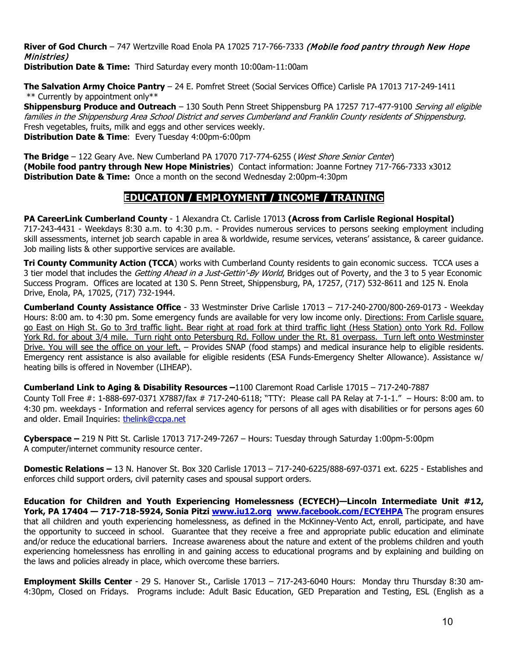**River of God Church** – 747 Wertzville Road Enola PA 17025 717-766-7333 (Mobile food pantry through New Hope Ministries)

**Distribution Date & Time:** Third Saturday every month 10:00am-11:00am

**The Salvation Army Choice Pantry** – 24 E. Pomfret Street (Social Services Office) Carlisle PA 17013 717-249-1411 \*\* Currently by appointment only\*\*

**Shippensburg Produce and Outreach** – 130 South Penn Street Shippensburg PA 17257 717-477-9100 Serving all eligible families in the Shippensburg Area School District and serves Cumberland and Franklin County residents of Shippensburg. Fresh vegetables, fruits, milk and eggs and other services weekly. **Distribution Date & Time**: Every Tuesday 4:00pm-6:00pm

**The Bridge** – 122 Geary Ave. New Cumberland PA 17070 717-774-6255 (West Shore Senior Center) **(Mobile food pantry through New Hope Ministries**) Contact information: Joanne Fortney 717-766-7333 x3012 **Distribution Date & Time:** Once a month on the second Wednesday 2:00pm-4:30pm

### **EDUCATION / EMPLOYMENT / INCOME / TRAINING**

**PA CareerLink Cumberland County** - 1 Alexandra Ct. Carlisle 17013 **(Across from Carlisle Regional Hospital)** 717-243-4431 - Weekdays 8:30 a.m. to 4:30 p.m. - Provides numerous services to persons seeking employment including skill assessments, internet job search capable in area & worldwide, resume services, veterans' assistance, & career guidance. Job mailing lists & other supportive services are available.

**Tri County Community Action (TCCA**) works with Cumberland County residents to gain economic success. TCCA uses a 3 tier model that includes the Getting Ahead in a Just-Gettin'-By World, Bridges out of Poverty, and the 3 to 5 year Economic Success Program. Offices are located at 130 S. Penn Street, Shippensburg, PA, 17257, (717) 532-8611 and 125 N. Enola Drive, Enola, PA, 17025, (717) 732-1944.

**Cumberland County Assistance Office** - 33 Westminster Drive Carlisle 17013 – 717-240-2700/800-269-0173 - Weekday Hours: 8:00 am. to 4:30 pm. Some emergency funds are available for very low income only. Directions: From Carlisle square, go East on High St. Go to 3rd traffic light. Bear right at road fork at third traffic light (Hess Station) onto York Rd. Follow York Rd. for about 3/4 mile. Turn right onto Petersburg Rd. Follow under the Rt. 81 overpass. Turn left onto Westminster Drive. You will see the office on your left. – Provides SNAP (food stamps) and medical insurance help to eligible residents. Emergency rent assistance is also available for eligible residents (ESA Funds-Emergency Shelter Allowance). Assistance w/ heating bills is offered in November (LIHEAP).

**Cumberland Link to Aging & Disability Resources –**1100 Claremont Road Carlisle 17015 – 717-240-7887

County Toll Free #: 1-888-697-0371 X7887/fax # 717-240-6118; "TTY: Please call PA Relay at 7-1-1." – Hours: 8:00 am. to 4:30 pm. weekdays - Information and referral services agency for persons of all ages with disabilities or for persons ages 60 and older. Email Inquiries: [thelink@ccpa.net](mailto:thelink@ccpa.net)

**Cyberspace –** 219 N Pitt St. Carlisle 17013 717-249-7267 – Hours: Tuesday through Saturday 1:00pm-5:00pm A computer/internet community resource center.

**Domestic Relations –** 13 N. Hanover St. Box 320 Carlisle 17013 – 717-240-6225/888-697-0371 ext. 6225 - Establishes and enforces child support orders, civil paternity cases and spousal support orders.

**Education for Children and Youth Experiencing Homelessness (ECYECH)—Lincoln Intermediate Unit #12, York, PA 17404 — 717-718-5924, Sonia Pitzi [www.iu12.org](http://www.iu12.org/) [www.facebook.com/ECYEHPA](http://www.facebook.com/ECYEHPA)** The program ensures that all children and youth experiencing homelessness, as defined in the McKinney-Vento Act, enroll, participate, and have the opportunity to succeed in school. Guarantee that they receive a free and appropriate public education and eliminate and/or reduce the educational barriers. Increase awareness about the nature and extent of the problems children and youth experiencing homelessness has enrolling in and gaining access to educational programs and by explaining and building on the laws and policies already in place, which overcome these barriers.

**Employment Skills Center** - 29 S. Hanover St., Carlisle 17013 – 717-243-6040 Hours: Monday thru Thursday 8:30 am-4:30pm, Closed on Fridays. Programs include: Adult Basic Education, GED Preparation and Testing, ESL (English as a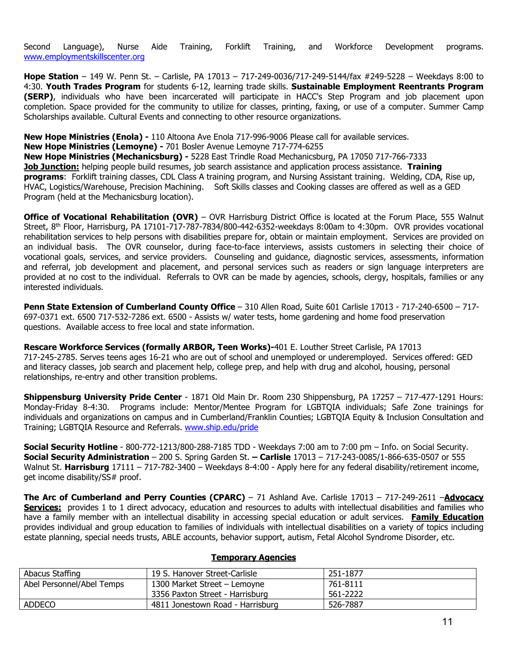Second Language), Nurse Aide Training, Forklift Training, and Workforce Development programs. [www.employmentskillscenter.org](http://www.employmentskillscenter.org/)

**Hope Station** – 149 W. Penn St. – Carlisle, PA 17013 – 717-249-0036/717-249-5144/fax #249-5228 – Weekdays 8:00 to 4:30. **Youth Trades Program** for students 6-12, learning trade skills. **Sustainable Employment Reentrants Program (SERP)**, individuals who have been incarcerated will participate in HACC's Step Program and job placement upon completion. Space provided for the community to utilize for classes, printing, faxing, or use of a computer. Summer Camp Scholarships available. Cultural Events and connecting to other resource organizations.

**New Hope Ministries (Enola) -** 110 Altoona Ave Enola 717-996-9006 Please call for available services.

**New Hope Ministries (Lemoyne) -** 701 Bosler Avenue Lemoyne 717-774-6255

**New Hope Ministries (Mechanicsburg) -** 5228 East Trindle Road Mechanicsburg, PA 17050 717-766-7333 **Job Junction:** helping people build resumes, job search assistance and application process assistance. **Training programs**: Forklift training classes, CDL Class A training program, and Nursing Assistant training. Welding, CDA, Rise up, HVAC, Logistics/Warehouse, Precision Machining. Soft Skills classes and Cooking classes are offered as well as a GED Program (held at the Mechanicsburg location).

**Office of Vocational Rehabilitation (OVR)** – OVR Harrisburg District Office is located at the Forum Place, 555 Walnut Street, 8<sup>th</sup> Floor, Harrisburg, PA 17101-717-787-7834/800-442-6352-weekdays 8:00am to 4:30pm. OVR provides vocational rehabilitation services to help persons with disabilities prepare for, obtain or maintain employment. Services are provided on an individual basis. The OVR counselor, during face-to-face interviews, assists customers in selecting their choice of vocational goals, services, and service providers. Counseling and guidance, diagnostic services, assessments, information and referral, job development and placement, and personal services such as readers or sign language interpreters are provided at no cost to the individual. Referrals to OVR can be made by agencies, schools, clergy, hospitals, families or any interested individuals.

**Penn State Extension of Cumberland County Office** – 310 Allen Road, Suite 601 Carlisle 17013 - 717-240-6500 – 717- 697-0371 ext. 6500 717-532-7286 ext. 6500 - Assists w/ water tests, home gardening and home food preservation questions. Available access to free local and state information.

**Rescare Workforce Services (formally ARBOR, Teen Works)-**401 E. Louther Street Carlisle, PA 17013 717-245-2785. Serves teens ages 16-21 who are out of school and unemployed or underemployed. Services offered: GED and literacy classes, job search and placement help, college prep, and help with drug and alcohol, housing, personal relationships, re-entry and other transition problems.

**Shippensburg University Pride Center** - 1871 Old Main Dr. Room 230 Shippensburg, PA 17257 – 717-477-1291 Hours: Monday-Friday 8-4:30. Programs include: Mentor/Mentee Program for LGBTQIA individuals; Safe Zone trainings for individuals and organizations on campus and in Cumberland/Franklin Counties; LGBTQIA Equity & Inclusion Consultation and Training; LGBTQIA Resource and Referrals. [www.ship.edu/pride](http://www.ship.edu/pride)

**Social Security Hotline** - 800-772-1213/800-288-7185 TDD - Weekdays 7:00 am to 7:00 pm – Info. on Social Security. **Social Security Administration** – 200 S. Spring Garden St. **– Carlisle** 17013 – 717-243-0085/1-866-635-0507 or 555 Walnut St. **Harrisburg** 17111 – 717-782-3400 – Weekdays 8-4:00 - Apply here for any federal disability/retirement income, get income disability/SS# proof.

**The Arc of Cumberland and Perry Counties (CPARC)** – 71 Ashland Ave. Carlisle 17013 – 717-249-2611 –**Advocacy Services:** provides 1 to 1 direct advocacy, education and resources to adults with intellectual disabilities and families who have a family member with an intellectual disability in accessing special education or adult services. **Family Education** provides individual and group education to families of individuals with intellectual disabilities on a variety of topics including estate planning, special needs trusts, ABLE accounts, behavior support, autism, Fetal Alcohol Syndrome Disorder, etc.

| Abacus Staffing           | 19 S. Hanover Street-Carlisle    | 251-1877 |
|---------------------------|----------------------------------|----------|
| Abel Personnel/Abel Temps | 1300 Market Street - Lemoyne     | 761-8111 |
|                           | 3356 Paxton Street - Harrisburg  | 561-2222 |
| ADDECO                    | 4811 Jonestown Road - Harrisburg | 526-7887 |

#### **Temporary Agencies**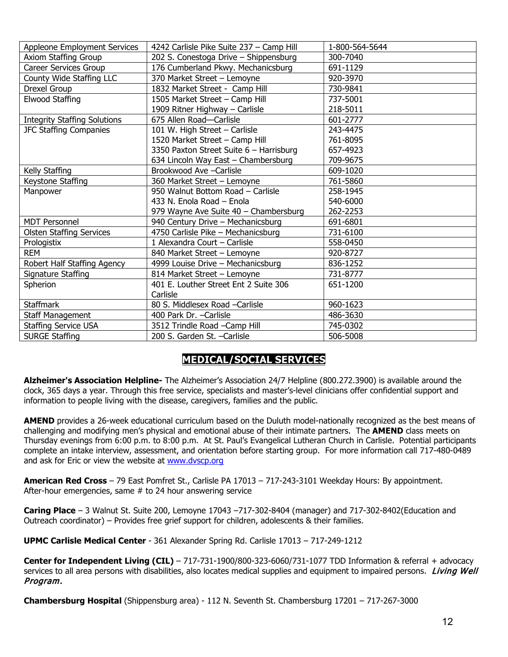| Appleone Employment Services        | 4242 Carlisle Pike Suite 237 - Camp Hill | 1-800-564-5644 |
|-------------------------------------|------------------------------------------|----------------|
| Axiom Staffing Group                | 202 S. Conestoga Drive - Shippensburg    | 300-7040       |
| Career Services Group               | 176 Cumberland Pkwy. Mechanicsburg       | 691-1129       |
| County Wide Staffing LLC            | 370 Market Street - Lemoyne              | 920-3970       |
| Drexel Group                        | 1832 Market Street - Camp Hill           | 730-9841       |
| Elwood Staffing                     | 1505 Market Street - Camp Hill           | 737-5001       |
|                                     | 1909 Ritner Highway - Carlisle           | 218-5011       |
| <b>Integrity Staffing Solutions</b> | 675 Allen Road-Carlisle                  | 601-2777       |
| <b>JFC Staffing Companies</b>       | 101 W. High Street - Carlisle            | 243-4475       |
|                                     | 1520 Market Street - Camp Hill           | 761-8095       |
|                                     | 3350 Paxton Street Suite 6 - Harrisburg  | 657-4923       |
|                                     | 634 Lincoln Way East - Chambersburg      | 709-9675       |
| Kelly Staffing                      | Brookwood Ave - Carlisle                 | 609-1020       |
| Keystone Staffing                   | 360 Market Street - Lemoyne              | 761-5860       |
| Manpower                            | 950 Walnut Bottom Road - Carlisle        | 258-1945       |
|                                     | 433 N. Enola Road - Enola                | 540-6000       |
|                                     | 979 Wayne Ave Suite 40 - Chambersburg    | 262-2253       |
| <b>MDT Personnel</b>                | 940 Century Drive - Mechanicsburg        | 691-6801       |
| <b>Olsten Staffing Services</b>     | 4750 Carlisle Pike - Mechanicsburg       | 731-6100       |
| Prologistix                         | 1 Alexandra Court - Carlisle             | 558-0450       |
| <b>REM</b>                          | 840 Market Street - Lemoyne              | 920-8727       |
| Robert Half Staffing Agency         | 4999 Louise Drive - Mechanicsburg        | 836-1252       |
| Signature Staffing                  | 814 Market Street - Lemoyne              | 731-8777       |
| Spherion                            | 401 E. Louther Street Ent 2 Suite 306    | 651-1200       |
|                                     | Carlisle                                 |                |
| <b>Staffmark</b>                    | 80 S. Middlesex Road -Carlisle           | 960-1623       |
| Staff Management                    | 400 Park Dr. - Carlisle                  | 486-3630       |
| <b>Staffing Service USA</b>         | 3512 Trindle Road -Camp Hill             | 745-0302       |
| <b>SURGE Staffing</b>               | 200 S. Garden St. - Carlisle             | 506-5008       |

## **MEDICAL/SOCIAL SERVICES**

**Alzheimer's Association Helpline-** The Alzheimer's Association 24/7 Helpline (800.272.3900) is available around the clock, 365 days a year. Through this free service, specialists and master's-level clinicians offer confidential support and information to people living with the disease, caregivers, families and the public.

**AMEND** provides a 26-week educational curriculum based on the Duluth model-nationally recognized as the best means of challenging and modifying men's physical and emotional abuse of their intimate partners. The **AMEND** class meets on Thursday evenings from 6:00 p.m. to 8:00 p.m. At St. Paul's Evangelical Lutheran Church in Carlisle.Potential participants complete an intake interview, assessment, and orientation before starting group. For more information call 717-480-0489 and ask for Eric or view the website at [www.dvscp.org](http://www.dvscp.org/)

**American Red Cross** – 79 East Pomfret St., Carlisle PA 17013 – 717-243-3101 Weekday Hours: By appointment. After-hour emergencies, same # to 24 hour answering service

**Caring Place** – 3 Walnut St. Suite 200, Lemoyne 17043 –717-302-8404 (manager) and 717-302-8402(Education and Outreach coordinator) – Provides free grief support for children, adolescents & their families.

**UPMC Carlisle Medical Center** - 361 Alexander Spring Rd. Carlisle 17013 – 717-249-1212

**Center for Independent Living (CIL)** – 717-731-1900/800-323-6060/731-1077 TDD Information & referral + advocacy services to all area persons with disabilities, also locates medical supplies and equipment to impaired persons. Living Well Program.

**Chambersburg Hospital** (Shippensburg area) - 112 N. Seventh St. Chambersburg 17201 – 717-267-3000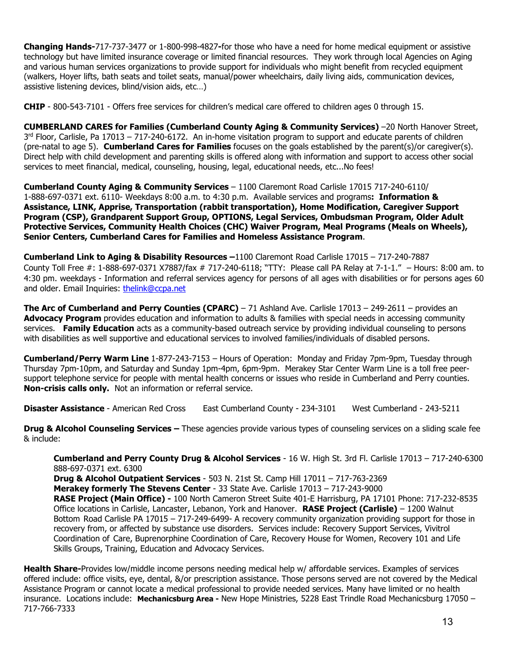**Changing Hands-**717-737-3477 or 1-800-998-4827**-**for those who have a need for home medical equipment or assistive technology but have limited insurance coverage or limited financial resources. They work through local Agencies on Aging and various human services organizations to provide support for individuals who might benefit from recycled equipment (walkers, Hoyer lifts, bath seats and toilet seats, manual/power wheelchairs, daily living aids, communication devices, assistive listening devices, blind/vision aids, etc…)

**CHIP** - 800-543-7101 - Offers free services for children's medical care offered to children ages 0 through 15.

**CUMBERLAND CARES for Families (Cumberland County Aging & Community Services)** –20 North Hanover Street, 3<sup>rd</sup> Floor, Carlisle, Pa 17013 – 717-240-6172. An in-home visitation program to support and educate parents of children (pre-natal to age 5). **Cumberland Cares for Families** focuses on the goals established by the parent(s)/or caregiver(s). Direct help with child development and parenting skills is offered along with information and support to access other social services to meet financial, medical, counseling, housing, legal, educational needs, etc...No fees!

**Cumberland County Aging & Community Services** – 1100 Claremont Road Carlisle 17015 717-240-6110/ 1-888-697-0371 ext. 6110- Weekdays 8:00 a.m. to 4:30 p.m. Available services and programs**: Information & Assistance, LINK, Apprise, Transportation (rabbit transportation), Home Modification, Caregiver Support Program (CSP), Grandparent Support Group, OPTIONS, Legal Services, Ombudsman Program, Older Adult Protective Services, Community Health Choices (CHC) Waiver Program, Meal Programs (Meals on Wheels), Senior Centers, Cumberland Cares for Families and Homeless Assistance Program**.

**Cumberland Link to Aging & Disability Resources –**1100 Claremont Road Carlisle 17015 – 717-240-7887 County Toll Free #: 1-888-697-0371 X7887/fax # 717-240-6118; "TTY: Please call PA Relay at 7-1-1." – Hours: 8:00 am. to 4:30 pm. weekdays - Information and referral services agency for persons of all ages with disabilities or for persons ages 60 and older. Email Inquiries: [thelink@ccpa.net](mailto:thelink@ccpa.net) 

**The Arc of Cumberland and Perry Counties (CPARC)** – 71 Ashland Ave. Carlisle 17013 – 249-2611 – provides an **Advocacy Program** provides education and information to adults & families with special needs in accessing community services. **Family Education** acts as a community-based outreach service by providing individual counseling to persons with disabilities as well supportive and educational services to involved families/individuals of disabled persons.

**Cumberland/Perry Warm Line** 1-877-243-7153 – Hours of Operation: Monday and Friday 7pm-9pm, Tuesday through Thursday 7pm-10pm, and Saturday and Sunday 1pm-4pm, 6pm-9pm. Merakey Star Center Warm Line is a toll free peersupport telephone service for people with mental health concerns or issues who reside in Cumberland and Perry counties. **Non-crisis calls only.** Not an information or referral service.

**Disaster Assistance** - American Red Cross East Cumberland County - 234-3101 West Cumberland - 243-5211

**Drug & Alcohol Counseling Services –** These agencies provide various types of counseling services on a sliding scale fee & include:

**Cumberland and Perry County Drug & Alcohol Services** - 16 W. High St. 3rd Fl. Carlisle 17013 – 717-240-6300 888-697-0371 ext. 6300

**Drug & Alcohol Outpatient Services** - 503 N. 21st St. Camp Hill 17011 – 717-763-2369 **Merakey formerly The Stevens Center** - 33 State Ave. Carlisle 17013 – 717-243-9000 **RASE Project (Main Office) -** 100 North Cameron Street Suite 401-E Harrisburg, PA 17101 Phone: 717-232-8535 Office locations in Carlisle, Lancaster, Lebanon, York and Hanover. **RASE Project (Carlisle)** – 1200 Walnut Bottom Road Carlisle PA 17015 – 717-249-6499- A recovery community organization providing support for those in recovery from, or affected by substance use disorders. Services include: Recovery Support Services, Vivitrol Coordination of Care, Buprenorphine Coordination of Care, Recovery House for Women, Recovery 101 and Life Skills Groups, Training, Education and Advocacy Services.

**Health Share-**Provides low/middle income persons needing medical help w/ affordable services. Examples of services offered include: office visits, eye, dental, &/or prescription assistance. Those persons served are not covered by the Medical Assistance Program or cannot locate a medical professional to provide needed services. Many have limited or no health insurance. Locations include: **Mechanicsburg Area -** New Hope Ministries, 5228 East Trindle Road Mechanicsburg 17050 – 717-766-7333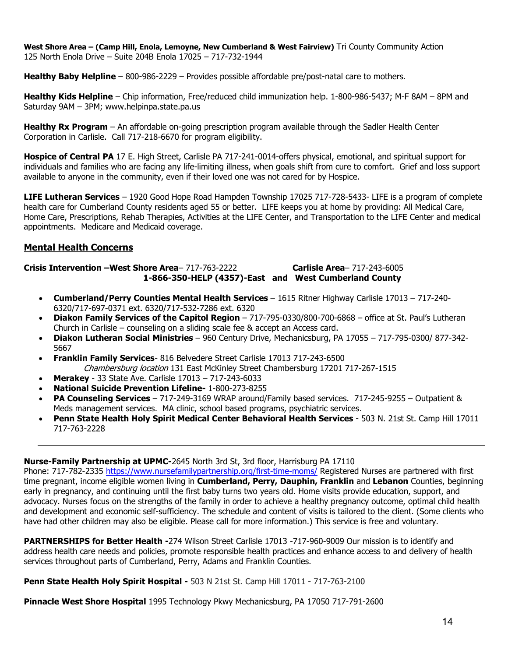**West Shore Area – (Camp Hill, Enola, Lemoyne, New Cumberland & West Fairview)** Tri County Community Action 125 North Enola Drive – Suite 204B Enola 17025 – 717-732-1944

**Healthy Baby Helpline** – 800-986-2229 – Provides possible affordable pre/post-natal care to mothers.

**Healthy Kids Helpline** – Chip information, Free/reduced child immunization help. 1-800-986-5437; M-F 8AM – 8PM and Saturday 9AM – 3PM; www.helpinpa.state.pa.us

**Healthy Rx Program** – An affordable on-going prescription program available through the Sadler Health Center Corporation in Carlisle. Call 717-218-6670 for program eligibility.

**Hospice of Central PA** 17 E. High Street, Carlisle PA 717-241-0014-offers physical, emotional, and spiritual support for individuals and families who are facing any life-limiting illness, when goals shift from cure to comfort. Grief and loss support available to anyone in the community, even if their loved one was not cared for by Hospice.

**LIFE Lutheran Services** – 1920 Good Hope Road Hampden Township 17025 717-728-5433- LIFE is a program of complete health care for Cumberland County residents aged 55 or better. LIFE keeps you at home by providing: All Medical Care, Home Care, Prescriptions, Rehab Therapies, Activities at the LIFE Center, and Transportation to the LIFE Center and medical appointments. Medicare and Medicaid coverage.

#### **Mental Health Concerns**

**Crisis Intervention –West Shore Area**– 717-763-2222 **Carlisle Area**– 717-243-6005 **1-866-350-HELP (4357)-East and West Cumberland County**

- **Cumberland/Perry Counties Mental Health Services**  1615 Ritner Highway Carlisle 17013 717-240- 6320/717-697-0371 ext. 6320/717-532-7286 ext. 6320
- **Diakon Family Services of the Capitol Region** 717-795-0330/800-700-6868 office at St. Paul's Lutheran Church in Carlisle – counseling on a sliding scale fee & accept an Access card.
- **Diakon Lutheran Social Ministries**  960 Century Drive, Mechanicsburg, PA 17055 717-795-0300/ 877-342- 5667
- **Franklin Family Services** 816 Belvedere Street Carlisle 17013 717-243-6500 Chambersburg location 131 East McKinley Street Chambersburg 17201 717-267-1515
- **Merakey**  33 State Ave. Carlisle 17013 717-243-6033
- **National Suicide Prevention Lifeline-** 1-800-273-8255
- **PA Counseling Services**  717-249-3169 WRAP around/Family based services. 717-245-9255 Outpatient & Meds management services. MA clinic, school based programs, psychiatric services.
- **Penn State Health Holy Spirit Medical Center Behavioral Health Services**  503 N. 21st St. Camp Hill 17011 717-763-2228

#### **Nurse-Family Partnership at UPMC-**2645 North 3rd St, 3rd floor, Harrisburg PA 17110

Phone: 717-782-2335<https://www.nursefamilypartnership.org/first-time-moms/> Registered Nurses are partnered with first time pregnant, income eligible women living in **Cumberland, Perry, Dauphin, Franklin** and **Lebanon** Counties, beginning early in pregnancy, and continuing until the first baby turns two years old. Home visits provide education, support, and advocacy. Nurses focus on the strengths of the family in order to achieve a healthy pregnancy outcome, optimal child health and development and economic self-sufficiency. The schedule and content of visits is tailored to the client. (Some clients who have had other children may also be eligible. Please call for more information.) This service is free and voluntary.

**PARTNERSHIPS for Better Health -**274 Wilson Street Carlisle 17013 -717-960-9009 Our mission is to identify and address health care needs and policies, promote responsible health practices and enhance access to and delivery of health services throughout parts of Cumberland, Perry, Adams and Franklin Counties.

**Penn State Health Holy Spirit Hospital -** 503 N 21st St. Camp Hill 17011 - 717-763-2100

**Pinnacle West Shore Hospital** 1995 Technology Pkwy Mechanicsburg, PA 17050 717-791-2600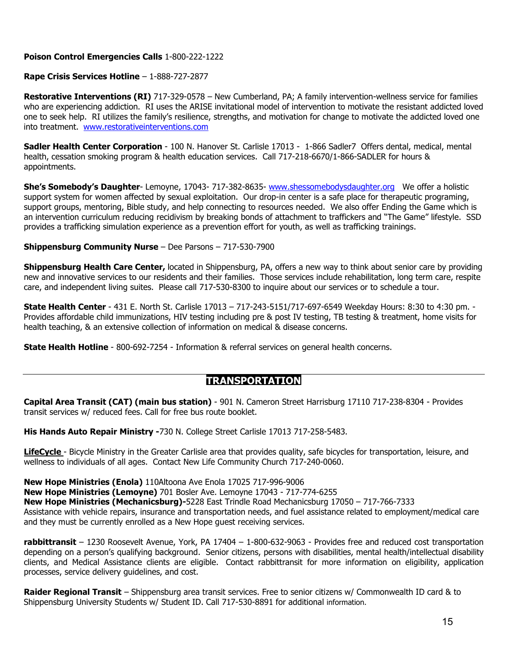#### **Poison Control Emergencies Calls** 1-800-222-1222

#### **Rape Crisis Services Hotline** – 1-888-727-2877

**Restorative Interventions (RI)** 717-329-0578 – New Cumberland, PA; A family intervention-wellness service for families who are experiencing addiction. RI uses the ARISE invitational model of intervention to motivate the resistant addicted loved one to seek help. RI utilizes the family's resilience, strengths, and motivation for change to motivate the addicted loved one into treatment.[www.restorativeinterventions.com](http://www.restorativeinterventions.com/)

**Sadler Health Center Corporation** - 100 N. Hanover St. Carlisle 17013 - 1-866 Sadler7 Offers dental, medical, mental health, cessation smoking program & health education services. Call 717-218-6670/1-866-SADLER for hours & appointments.

**She's Somebody's Daughter**- Lemoyne, 17043- 717-382-8635- [www.shessomebodysdaughter.org](http://www.shessomebodysdaughter.org/) We offer a holistic support system for women affected by sexual exploitation. Our drop-in center is a safe place for therapeutic programing, support groups, mentoring, Bible study, and help connecting to resources needed. We also offer Ending the Game which is an intervention curriculum reducing recidivism by breaking bonds of attachment to traffickers and "The Game" lifestyle. SSD provides a trafficking simulation experience as a prevention effort for youth, as well as trafficking trainings.

#### **Shippensburg Community Nurse** – Dee Parsons – 717-530-7900

**Shippensburg Health Care Center,** located in Shippensburg, PA, offers a new way to think about senior care by providing new and innovative services to our residents and their families. Those services include rehabilitation, long term care, respite care, and independent living suites. Please call 717-530-8300 to inquire about our services or to schedule a tour.

**State Health Center** - 431 E. North St. Carlisle 17013 – 717-243-5151/717-697-6549 Weekday Hours: 8:30 to 4:30 pm. - Provides affordable child immunizations, HIV testing including pre & post IV testing, TB testing & treatment, home visits for health teaching, & an extensive collection of information on medical & disease concerns.

**State Health Hotline** - 800-692-7254 - Information & referral services on general health concerns.

#### **TRANSPORTATION**

**Capital Area Transit (CAT) (main bus station)** - 901 N. Cameron Street Harrisburg 17110 717-238-8304 - Provides transit services w/ reduced fees. Call for free bus route booklet.

**His Hands Auto Repair Ministry -**730 N. College Street Carlisle 17013 717-258-5483.

**LifeCycle** - Bicycle Ministry in the Greater Carlisle area that provides quality, safe bicycles for transportation, leisure, and wellness to individuals of all ages. Contact New Life Community Church 717-240-0060.

**New Hope Ministries (Enola)** 110Altoona Ave Enola 17025 717-996-9006 **New Hope Ministries (Lemoyne)** 701 Bosler Ave. Lemoyne 17043 - 717-774-6255 **New Hope Ministries (Mechanicsburg)-**5228 East Trindle Road Mechanicsburg 17050 – 717-766-7333 Assistance with vehicle repairs, insurance and transportation needs, and fuel assistance related to employment/medical care and they must be currently enrolled as a New Hope guest receiving services.

**rabbittransit** – 1230 Roosevelt Avenue, York, PA 17404 – 1-800-632-9063 - Provides free and reduced cost transportation depending on a person's qualifying background. Senior citizens, persons with disabilities, mental health/intellectual disability clients, and Medical Assistance clients are eligible. Contact rabbittransit for more information on eligibility, application processes, service delivery guidelines, and cost.

**Raider Regional Transit** – Shippensburg area transit services. Free to senior citizens w/ Commonwealth ID card & to Shippensburg University Students w/ Student ID. Call 717-530-8891 for additional information.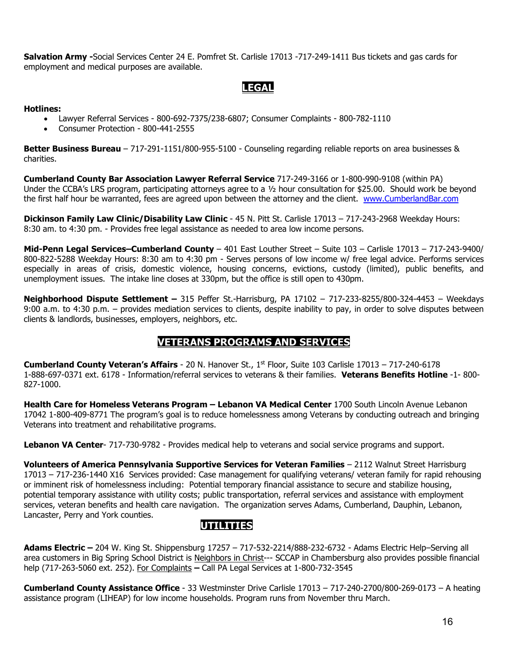**Salvation Army -**Social Services Center 24 E. Pomfret St. Carlisle 17013 -717-249-1411 Bus tickets and gas cards for employment and medical purposes are available.

### **LEGAL**

#### **Hotlines:**

- Lawyer Referral Services 800-692-7375/238-6807; Consumer Complaints 800-782-1110
- Consumer Protection 800-441-2555

**Better Business Bureau** – 717-291-1151/800-955-5100 - Counseling regarding reliable reports on area businesses & charities.

**Cumberland County Bar Association Lawyer Referral Service** 717-249-3166 or 1-800-990-9108 (within PA) Under the CCBA's LRS program, participating attorneys agree to a  $1/2$  hour consultation for \$25.00. Should work be beyond the first half hour be warranted, fees are agreed upon between the attorney and the client. [www.CumberlandBar.com](http://www.cumberlandbar.com/)

**Dickinson Family Law Clinic/Disability Law Clinic** - 45 N. Pitt St. Carlisle 17013 – 717-243-2968 Weekday Hours: 8:30 am. to 4:30 pm. - Provides free legal assistance as needed to area low income persons.

**Mid-Penn Legal Services–Cumberland County** – 401 East Louther Street – Suite 103 – Carlisle 17013 – 717-243-9400/ 800-822-5288 Weekday Hours: 8:30 am to 4:30 pm - Serves persons of low income w/ free legal advice. Performs services especially in areas of crisis, domestic violence, housing concerns, evictions, custody (limited), public benefits, and unemployment issues. The intake line closes at 330pm, but the office is still open to 430pm.

**Neighborhood Dispute Settlement –** 315 Peffer St.-Harrisburg, PA 17102 – 717-233-8255/800-324-4453 – Weekdays 9:00 a.m. to 4:30 p.m. – provides mediation services to clients, despite inability to pay, in order to solve disputes between clients & landlords, businesses, employers, neighbors, etc.

### **VETERANS PROGRAMS AND SERVICES**

**Cumberland County Veteran's Affairs** - 20 N. Hanover St., 1st Floor, Suite 103 Carlisle 17013 – 717-240-6178 1-888-697-0371 ext. 6178 - Information/referral services to veterans & their families. **Veterans Benefits Hotline** -1- 800- 827-1000.

**Health Care for Homeless Veterans Program – Lebanon VA Medical Center** 1700 South Lincoln Avenue Lebanon 17042 1-800-409-8771 The program's goal is to reduce homelessness among Veterans by conducting outreach and bringing Veterans into treatment and rehabilitative programs.

**Lebanon VA Center**- 717-730-9782 - Provides medical help to veterans and social service programs and support.

**Volunteers of America Pennsylvania Supportive Services for Veteran Families** – 2112 Walnut Street Harrisburg 17013 – 717-236-1440 X16 Services provided: Case management for qualifying veterans/ veteran family for rapid rehousing or imminent risk of homelessness including: Potential temporary financial assistance to secure and stabilize housing, potential temporary assistance with utility costs; public transportation, referral services and assistance with employment services, veteran benefits and health care navigation. The organization serves Adams, Cumberland, Dauphin, Lebanon, Lancaster, Perry and York counties.

### **UTILITIES**

**Adams Electric –** 204 W. King St. Shippensburg 17257 – 717-532-2214/888-232-6732 - Adams Electric Help–Serving all area customers in Big Spring School District is Neighbors in Christ--- SCCAP in Chambersburg also provides possible financial help (717-263-5060 ext. 252). For Complaints **–** Call PA Legal Services at 1-800-732-3545

**Cumberland County Assistance Office** - 33 Westminster Drive Carlisle 17013 – 717-240-2700/800-269-0173 – A heating assistance program (LIHEAP) for low income households. Program runs from November thru March.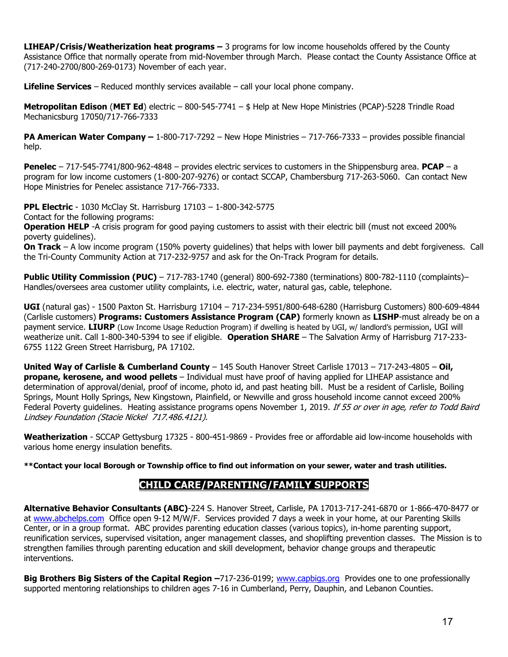**LIHEAP/Crisis/Weatherization heat programs –** 3 programs for low income households offered by the County Assistance Office that normally operate from mid-November through March. Please contact the County Assistance Office at (717-240-2700/800-269-0173) November of each year.

**Lifeline Services** – Reduced monthly services available – call your local phone company.

**Metropolitan Edison** (**MET Ed**) electric – 800-545-7741 – \$ Help at New Hope Ministries (PCAP)-5228 Trindle Road Mechanicsburg 17050/717-766-7333

**PA American Water Company –** 1-800-717-7292 – New Hope Ministries – 717-766-7333 – provides possible financial help.

**Penelec** – 717-545-7741/800-962-4848 – provides electric services to customers in the Shippensburg area. **PCAP** – a program for low income customers (1-800-207-9276) or contact SCCAP, Chambersburg 717-263-5060. Can contact New Hope Ministries for Penelec assistance 717-766-7333.

**PPL Electric** - 1030 McClay St. Harrisburg 17103 – 1-800-342-5775

Contact for the following programs:

**Operation HELP** -A crisis program for good paying customers to assist with their electric bill (must not exceed 200% poverty guidelines).

**On Track** – A low income program (150% poverty guidelines) that helps with lower bill payments and debt forgiveness. Call the Tri-County Community Action at 717-232-9757 and ask for the On-Track Program for details.

**Public Utility Commission (PUC)** – 717-783-1740 (general) 800-692-7380 (terminations) 800-782-1110 (complaints)– Handles/oversees area customer utility complaints, i.e. electric, water, natural gas, cable, telephone.

**UGI** (natural gas) - 1500 Paxton St. Harrisburg 17104 – 717-234-5951/800-648-6280 (Harrisburg Customers) 800-609-4844 (Carlisle customers) **Programs: Customers Assistance Program (CAP)** formerly known as **LISHP**-must already be on a payment service. **LIURP** (Low Income Usage Reduction Program) if dwelling is heated by UGI, w/ landlord's permission, UGI will weatherize unit. Call 1-800-340-5394 to see if eligible. **Operation SHARE** – The Salvation Army of Harrisburg 717-233- 6755 1122 Green Street Harrisburg, PA 17102.

**United Way of Carlisle & Cumberland County** – 145 South Hanover Street Carlisle 17013 – 717-243-4805 – **Oil, propane, kerosene, and wood pellets** – Individual must have proof of having applied for LIHEAP assistance and determination of approval/denial, proof of income, photo id, and past heating bill. Must be a resident of Carlisle, Boiling Springs, Mount Holly Springs, New Kingstown, Plainfield, or Newville and gross household income cannot exceed 200% Federal Poverty guidelines. Heating assistance programs opens November 1, 2019. If 55 or over in age, refer to Todd Baird Lindsey Foundation (Stacie Nickel 717.486.4121).

**Weatherization** - SCCAP Gettysburg 17325 - 800-451-9869 - Provides free or affordable aid low-income households with various home energy insulation benefits.

**\*\*Contact your local Borough or Township office to find out information on your sewer, water and trash utilities.**

### **CHILD CARE/PARENTING/FAMILY SUPPORTS**

**Alternative Behavior Consultants (ABC)**-224 S. Hanover Street, Carlisle, PA 17013-717-241-6870 or 1-866-470-8477 or at [www.abchelps.com](http://www.abchelps.com/) Office open 9-12 M/W/F. Services provided 7 days a week in your home, at our Parenting Skills Center, or in a group format. ABC provides parenting education classes (various topics), in-home parenting support, reunification services, supervised visitation, anger management classes, and shoplifting prevention classes. The Mission is to strengthen families through parenting education and skill development, behavior change groups and therapeutic interventions.

**Big Brothers Big Sisters of the Capital Region –**717-236-0199; [www.capbigs.org](http://www.capbigs.org/) Provides one to one professionally supported mentoring relationships to children ages 7-16 in Cumberland, Perry, Dauphin, and Lebanon Counties.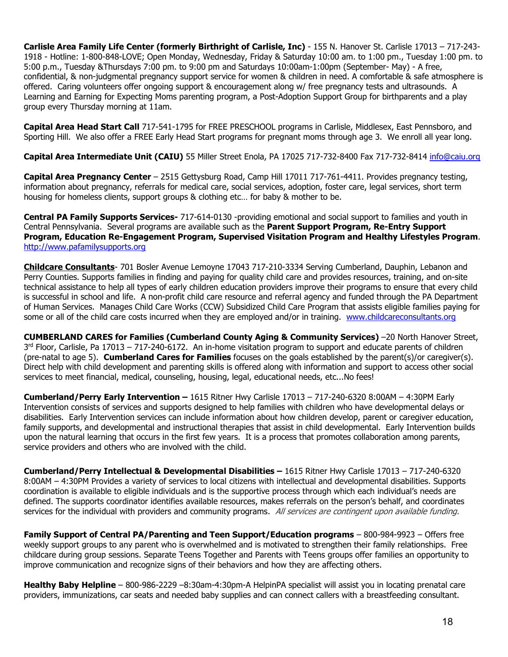**Carlisle Area Family Life Center (formerly Birthright of Carlisle, Inc)** - 155 N. Hanover St. Carlisle 17013 – 717-243- 1918 - Hotline: 1-800-848-LOVE; Open Monday, Wednesday, Friday & Saturday 10:00 am. to 1:00 pm., Tuesday 1:00 pm. to 5:00 p.m., Tuesday &Thursdays 7:00 pm. to 9:00 pm and Saturdays 10:00am-1:00pm (September- May) - A free, confidential, & non-judgmental pregnancy support service for women & children in need. A comfortable & safe atmosphere is offered. Caring volunteers offer ongoing support & encouragement along w/ free pregnancy tests and ultrasounds. A Learning and Earning for Expecting Moms parenting program, a Post-Adoption Support Group for birthparents and a play group every Thursday morning at 11am.

**Capital Area Head Start Call** 717-541-1795 for FREE PRESCHOOL programs in Carlisle, Middlesex, East Pennsboro, and Sporting Hill. We also offer a FREE Early Head Start programs for pregnant moms through age 3. We enroll all year long.

**Capital Area Intermediate Unit (CAIU)** 55 Miller Street Enola, PA 17025 717-732-8400 Fax 717-732-8414 [info@caiu.org](mailto:info@caiu.org)

**Capital Area Pregnancy Center** – 2515 Gettysburg Road, Camp Hill 17011 717-761-4411. Provides pregnancy testing, information about pregnancy, referrals for medical care, social services, adoption, foster care, legal services, short term housing for homeless clients, support groups & clothing etc… for baby & mother to be.

**Central PA Family Supports Services-** 717-614-0130 -providing emotional and social support to families and youth in Central Pennsylvania. Several programs are available such as the **Parent Support Program, Re-Entry Support Program, Education Re-Engagement Program, Supervised Visitation Program and Healthy Lifestyles Program**. [http://www.pafamilysupports.org](http://www.pafamilysupports.org/)

**Childcare Consultants**- 701 Bosler Avenue Lemoyne 17043 717-210-3334 Serving Cumberland, Dauphin, Lebanon and Perry Counties. Supports families in finding and paying for quality child care and provides resources, training, and on-site technical assistance to help all types of early children education providers improve their programs to ensure that every child is successful in school and life. A non-profit child care resource and referral agency and funded through the PA Department of Human Services. Manages Child Care Works (CCW) Subsidized Child Care Program that assists eligible families paying for some or all of the child care costs incurred when they are employed and/or in training. [www.childcareconsultants.org](http://www.childcareconsultants.org/)

**CUMBERLAND CARES for Families (Cumberland County Aging & Community Services)** –20 North Hanover Street,  $3<sup>rd</sup>$  Floor, Carlisle, Pa 17013 – 717-240-6172. An in-home visitation program to support and educate parents of children (pre-natal to age 5). **Cumberland Cares for Families** focuses on the goals established by the parent(s)/or caregiver(s). Direct help with child development and parenting skills is offered along with information and support to access other social services to meet financial, medical, counseling, housing, legal, educational needs, etc...No fees!

**Cumberland/Perry Early Intervention –** 1615 Ritner Hwy Carlisle 17013 – 717-240-6320 8:00AM – 4:30PM Early Intervention consists of services and supports designed to help families with children who have developmental delays or disabilities. Early Intervention services can include information about how children develop, parent or caregiver education, family supports, and developmental and instructional therapies that assist in child developmental. Early Intervention builds upon the natural learning that occurs in the first few years. It is a process that promotes collaboration among parents, service providers and others who are involved with the child.

**Cumberland/Perry Intellectual & Developmental Disabilities –** 1615 Ritner Hwy Carlisle 17013 – 717-240-6320 8:00AM – 4:30PM Provides a variety of services to local citizens with intellectual and developmental disabilities. Supports coordination is available to eligible individuals and is the supportive process through which each individual's needs are defined. The supports coordinator identifies available resources, makes referrals on the person's behalf, and coordinates services for the individual with providers and community programs. All services are contingent upon available funding.

**Family Support of Central PA/Parenting and Teen Support/Education programs** – 800-984-9923 – Offers free weekly support groups to any parent who is overwhelmed and is motivated to strengthen their family relationships. Free childcare during group sessions. Separate Teens Together and Parents with Teens groups offer families an opportunity to improve communication and recognize signs of their behaviors and how they are affecting others.

**Healthy Baby Helpline** – 800-986-2229 –8:30am-4:30pm-A HelpinPA specialist will assist you in locating prenatal care providers, immunizations, car seats and needed baby supplies and can connect callers with a breastfeeding consultant.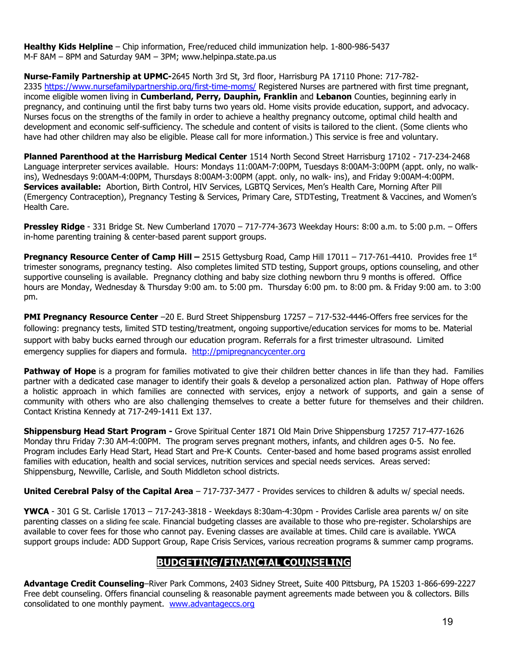**Healthy Kids Helpline** – Chip information, Free/reduced child immunization help. 1-800-986-5437 M-F 8AM – 8PM and Saturday 9AM – 3PM; www.helpinpa.state.pa.us

**Nurse-Family Partnership at UPMC-**2645 North 3rd St, 3rd floor, Harrisburg PA 17110 Phone: 717-782-

2335 <https://www.nursefamilypartnership.org/first-time-moms/> Registered Nurses are partnered with first time pregnant, income eligible women living in **Cumberland, Perry, Dauphin, Franklin** and **Lebanon** Counties, beginning early in pregnancy, and continuing until the first baby turns two years old. Home visits provide education, support, and advocacy. Nurses focus on the strengths of the family in order to achieve a healthy pregnancy outcome, optimal child health and development and economic self-sufficiency. The schedule and content of visits is tailored to the client. (Some clients who have had other children may also be eligible. Please call for more information.) This service is free and voluntary.

**Planned Parenthood at the Harrisburg Medical Center** 1514 North Second Street Harrisburg 17102 - 717-234-2468 Language interpreter services available. Hours: Mondays 11:00AM-7:00PM, Tuesdays 8:00AM-3:00PM (appt. only, no walkins), Wednesdays 9:00AM-4:00PM, Thursdays 8:00AM-3:00PM (appt. only, no walk- ins), and Friday 9:00AM-4:00PM. **Services available:** Abortion, Birth Control, HIV Services, LGBTQ Services, Men's Health Care, Morning After Pill (Emergency Contraception), Pregnancy Testing & Services, Primary Care, STDTesting, Treatment & Vaccines, and Women's Health Care.

**Pressley Ridge** - 331 Bridge St. New Cumberland 17070 – 717-774-3673 Weekday Hours: 8:00 a.m. to 5:00 p.m. – Offers in-home parenting training & center-based parent support groups.

**Pregnancy Resource Center of Camp Hill –** 2515 Gettysburg Road, Camp Hill 17011 – 717-761-4410. Provides free 1st trimester sonograms, pregnancy testing. Also completes limited STD testing, Support groups, options counseling, and other supportive counseling is available. Pregnancy clothing and baby size clothing newborn thru 9 months is offered. Office hours are Monday, Wednesday & Thursday 9:00 am. to 5:00 pm. Thursday 6:00 pm. to 8:00 pm. & Friday 9:00 am. to 3:00 pm.

**PMI Pregnancy Resource Center** –20 E. Burd Street Shippensburg 17257 – 717-532-4446-Offers free services for the following: pregnancy tests, limited STD testing/treatment, ongoing supportive/education services for moms to be. Material support with baby bucks earned through our education program. Referrals for a first trimester ultrasound. Limited emergency supplies for diapers and formula. [http://pmipregnancycenter.org](http://pmipregnancycenter.org/)

**Pathway of Hope** is a program for families motivated to give their children better chances in life than they had. Families partner with a dedicated case manager to identify their goals & develop a personalized action plan. Pathway of Hope offers a holistic approach in which families are connected with services, enjoy a network of supports, and gain a sense of community with others who are also challenging themselves to create a better future for themselves and their children. Contact Kristina Kennedy at 717-249-1411 Ext 137.

**Shippensburg Head Start Program -** Grove Spiritual Center 1871 Old Main Drive Shippensburg 17257 717-477-1626 Monday thru Friday 7:30 AM-4:00PM. The program serves pregnant mothers, infants, and children ages 0-5. No fee. Program includes Early Head Start, Head Start and Pre-K Counts. Center-based and home based programs assist enrolled families with education, health and social services, nutrition services and special needs services. Areas served: Shippensburg, Newville, Carlisle, and South Middleton school districts.

**United Cerebral Palsy of the Capital Area** – 717-737-3477 - Provides services to children & adults w/ special needs.

**YWCA** - 301 G St. Carlisle 17013 – 717-243-3818 - Weekdays 8:30am-4:30pm - Provides Carlisle area parents w/ on site parenting classes on a sliding fee scale. Financial budgeting classes are available to those who pre-register. Scholarships are available to cover fees for those who cannot pay. Evening classes are available at times. Child care is available. YWCA support groups include: ADD Support Group, Rape Crisis Services, various recreation programs & summer camp programs.

### **BUDGETING/FINANCIAL COUNSELING**

**Advantage Credit Counseling**–River Park Commons, 2403 Sidney Street, Suite 400 Pittsburg, PA 15203 1-866-699-2227 Free debt counseling. Offers financial counseling & reasonable payment agreements made between you & collectors. Bills consolidated to one monthly payment. [www.advantageccs.org](http://www.advantageccs.org/)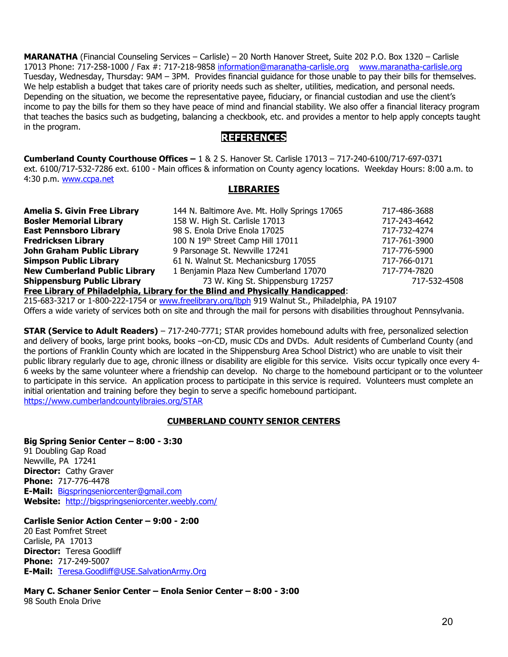**MARANATHA** (Financial Counseling Services – Carlisle) – 20 North Hanover Street, Suite 202 P.O. Box 1320 – Carlisle 17013 Phone: 717-258-1000 / Fax #: 717-218-9858 [information@maranatha-carlisle.org](mailto:information@maranatha-carlisle.org) [www.maranatha-carlisle.org](http://www.maranatha-carlisle.org/) Tuesday, Wednesday, Thursday: 9AM – 3PM. Provides financial guidance for those unable to pay their bills for themselves. We help establish a budget that takes care of priority needs such as shelter, utilities, medication, and personal needs. Depending on the situation, we become the representative payee, fiduciary, or financial custodian and use the client's income to pay the bills for them so they have peace of mind and financial stability. We also offer a financial literacy program that teaches the basics such as budgeting, balancing a checkbook, etc. and provides a mentor to help apply concepts taught in the program.

### **REFERENCES**

**Cumberland County Courthouse Offices –** 1 & 2 S. Hanover St. Carlisle 17013 – 717-240-6100/717-697-0371 ext. 6100/717-532-7286 ext. 6100 - Main offices & information on County agency locations. Weekday Hours: 8:00 a.m. to 4:30 p.m. [www.ccpa.net](http://www.ccpa.net/)

#### **LIBRARIES**

| <b>Amelia S. Givin Free Library</b>                                             | 144 N. Baltimore Ave. Mt. Holly Springs 17065 | 717-486-3688 |  |  |
|---------------------------------------------------------------------------------|-----------------------------------------------|--------------|--|--|
| <b>Bosler Memorial Library</b>                                                  | 158 W. High St. Carlisle 17013                | 717-243-4642 |  |  |
| <b>East Pennsboro Library</b>                                                   | 98 S. Enola Drive Enola 17025                 | 717-732-4274 |  |  |
| <b>Fredricksen Library</b>                                                      | 100 N 19th Street Camp Hill 17011             | 717-761-3900 |  |  |
| John Graham Public Library                                                      | 9 Parsonage St. Newville 17241                | 717-776-5900 |  |  |
| <b>Simpson Public Library</b>                                                   | 61 N. Walnut St. Mechanicsburg 17055          | 717-766-0171 |  |  |
| <b>New Cumberland Public Library</b>                                            | 1 Benjamin Plaza New Cumberland 17070         | 717-774-7820 |  |  |
| <b>Shippensburg Public Library</b>                                              | 73 W. King St. Shippensburg 17257             | 717-532-4508 |  |  |
| Free Library of Philadelphia, Library for the Blind and Physically Handicapped: |                                               |              |  |  |

215-683-3217 or 1-800-222-1754 or [www.freelibrary.org/lbph](http://www.freelibrary.org/lbph) 919 Walnut St., Philadelphia, PA 19107 Offers a wide variety of services both on site and through the mail for persons with disabilities throughout Pennsylvania.

**STAR (Service to Adult Readers)** – 717-240-7771; STAR provides homebound adults with free, personalized selection and delivery of books, large print books, books –on-CD, music CDs and DVDs. Adult residents of Cumberland County (and the portions of Franklin County which are located in the Shippensburg Area School District) who are unable to visit their public library regularly due to age, chronic illness or disability are eligible for this service. Visits occur typically once every 4- 6 weeks by the same volunteer where a friendship can develop. No charge to the homebound participant or to the volunteer to participate in this service. An application process to participate in this service is required. Volunteers must complete an initial orientation and training before they begin to serve a specific homebound participant. <https://www.cumberlandcountylibraies.org/STAR>

#### **CUMBERLAND COUNTY SENIOR CENTERS**

**Big Spring Senior Center – 8:00 - 3:30**

91 Doubling Gap Road Newville, PA 17241 **Director:** Cathy Graver **Phone:** 717-776-4478 **E-Mail:** [Bigspringseniorcenter@gmail.com](mailto:Bigspringseniorcenter@gmail.com) **Website:** <http://bigspringseniorcenter.weebly.com/>

#### **Carlisle Senior Action Center – 9:00 - 2:00**

20 East Pomfret Street Carlisle, PA 17013 **Director:** Teresa Goodliff **Phone:** 717-249-5007 **E-Mail:** [Teresa.Goodliff@USE.SalvationArmy.Org](mailto:Teresa.Goodliff@USE.SalvationArmy.Org)

**Mary C. Schaner Senior Center – Enola Senior Center – 8:00 - 3:00** 98 South Enola Drive